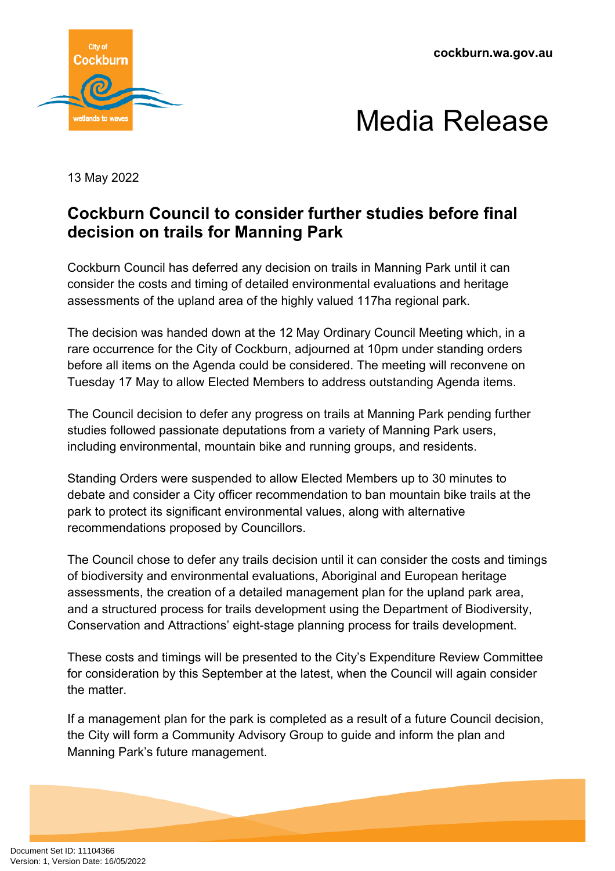



13 May 2022

## **Cockburn Council to consider further studies before final decision on trails for Manning Park**

Cockburn Council has deferred any decision on trails in Manning Park until it can consider the costs and timing of detailed environmental evaluations and heritage assessments of the upland area of the highly valued 117ha regional park.

The decision was handed down at the 12 May Ordinary Council Meeting which, in a rare occurrence for the City of Cockburn, adjourned at 10pm under standing orders before all items on the Agenda could be considered. The meeting will reconvene on Tuesday 17 May to allow Elected Members to address outstanding Agenda items.

The Council decision to defer any progress on trails at Manning Park pending further studies followed passionate deputations from a variety of Manning Park users, including environmental, mountain bike and running groups, and residents.

Standing Orders were suspended to allow Elected Members up to 30 minutes to debate and consider a City officer recommendation to ban mountain bike trails at the park to protect its significant environmental values, along with alternative recommendations proposed by Councillors.

The Council chose to defer any trails decision until it can consider the costs and timings of biodiversity and environmental evaluations, Aboriginal and European heritage assessments, the creation of a detailed management plan for the upland park area, and a structured process for trails development using the Department of Biodiversity, Conservation and Attractions' eight-stage planning process for trails development.

These costs and timings will be presented to the City's Expenditure Review Committee for consideration by this September at the latest, when the Council will again consider the matter.

If a management plan for the park is completed as a result of a future Council decision, the City will form a Community Advisory Group to guide and inform the plan and Manning Park's future management.